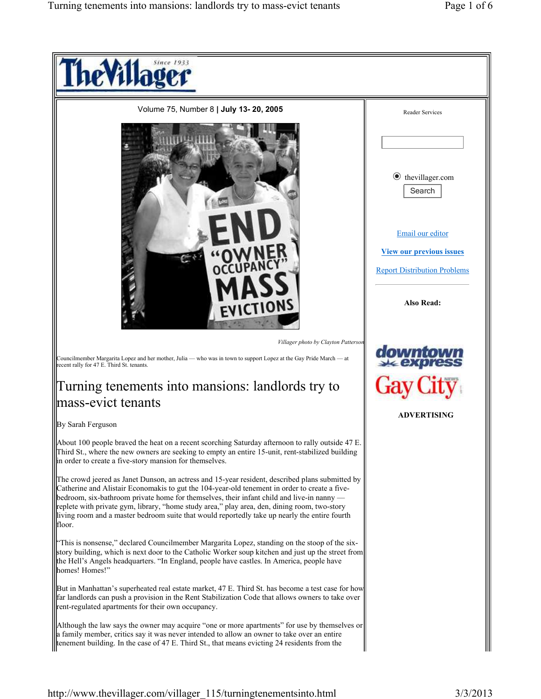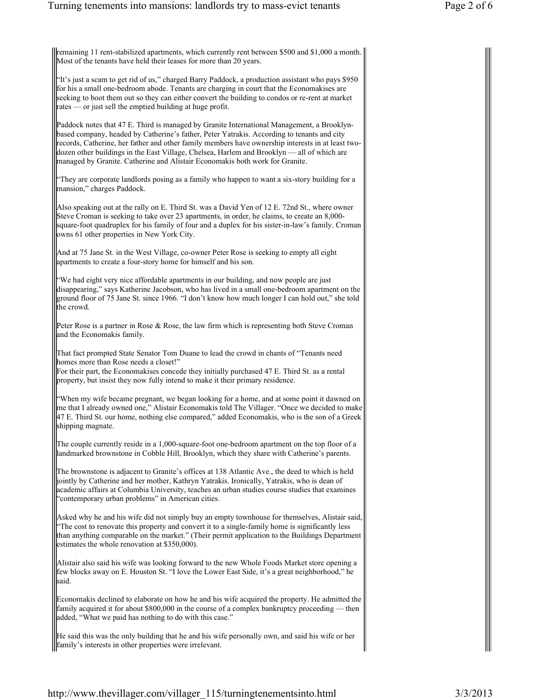remaining 11 rent-stabilized apartments, which currently rent between \$500 and \$1,000 a month. Most of the tenants have held their leases for more than 20 years.

"It's just a scam to get rid of us," charged Barry Paddock, a production assistant who pays \$950 for his a small one-bedroom abode. Tenants are charging in court that the Economakises are seeking to boot them out so they can either convert the building to condos or re-rent at market rates — or just sell the emptied building at huge profit.

Paddock notes that 47 E. Third is managed by Granite International Management, a Brooklynbased company, headed by Catherine's father, Peter Yatrakis. According to tenants and city records, Catherine, her father and other family members have ownership interests in at least twodozen other buildings in the East Village, Chelsea, Harlem and Brooklyn — all of which are managed by Granite. Catherine and Alistair Economakis both work for Granite.

"They are corporate landlords posing as a family who happen to want a six-story building for a mansion," charges Paddock.

Also speaking out at the rally on E. Third St. was a David Yen of 12 E. 72nd St., where owner Steve Croman is seeking to take over 23 apartments, in order, he claims, to create an 8,000 square-foot quadruplex for his family of four and a duplex for his sister-in-law's family. Croman owns 61 other properties in New York City.

And at 75 Jane St. in the West Village, co-owner Peter Rose is seeking to empty all eight apartments to create a four-story home for himself and his son.

"We had eight very nice affordable apartments in our building, and now people are just disappearing," says Katherine Jacobson, who has lived in a small one-bedroom apartment on the ground floor of 75 Jane St. since 1966. "I don't know how much longer I can hold out," she told the crowd.

Peter Rose is a partner in Rose & Rose, the law firm which is representing both Steve Croman and the Economakis family.

That fact prompted State Senator Tom Duane to lead the crowd in chants of "Tenants need homes more than Rose needs a closet!"

For their part, the Economakises concede they initially purchased 47 E. Third St. as a rental property, but insist they now fully intend to make it their primary residence.

"When my wife became pregnant, we began looking for a home, and at some point it dawned on me that I already owned one," Alistair Economakis told The Villager. "Once we decided to make 47 E. Third St. our home, nothing else compared," added Economakis, who is the son of a Greek shipping magnate.

The couple currently reside in a 1,000-square-foot one-bedroom apartment on the top floor of a landmarked brownstone in Cobble Hill, Brooklyn, which they share with Catherine's parents.

The brownstone is adjacent to Granite's offices at 138 Atlantic Ave., the deed to which is held jointly by Catherine and her mother, Kathryn Yatrakis. Ironically, Yatrakis, who is dean of academic affairs at Columbia University, teaches an urban studies course studies that examines 'contemporary urban problems" in American cities.

Asked why he and his wife did not simply buy an empty townhouse for themselves, Alistair said, "The cost to renovate this property and convert it to a single-family home is significantly less than anything comparable on the market." (Their permit application to the Buildings Department estimates the whole renovation at \$350,000).

Alistair also said his wife was looking forward to the new Whole Foods Market store opening a few blocks away on E. Houston St. "I love the Lower East Side, it's a great neighborhood," he said.

Economakis declined to elaborate on how he and his wife acquired the property. He admitted the family acquired it for about \$800,000 in the course of a complex bankruptcy proceeding — then added, "What we paid has nothing to do with this case."

He said this was the only building that he and his wife personally own, and said his wife or her family's interests in other properties were irrelevant.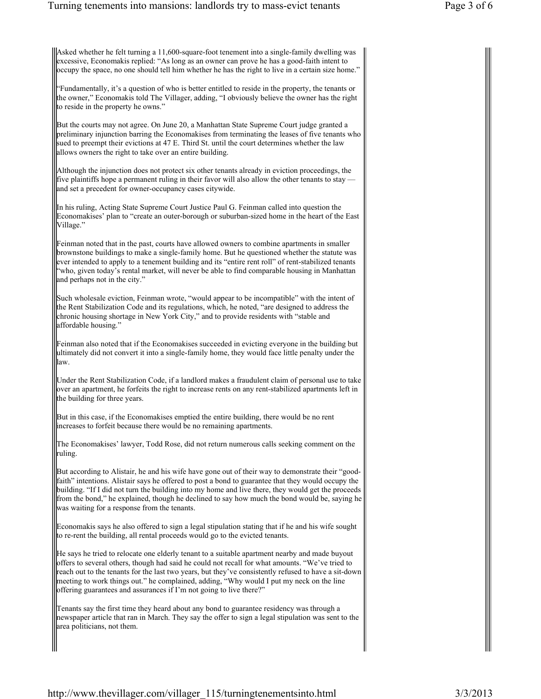Asked whether he felt turning a 11,600-square-foot tenement into a single-family dwelling was excessive, Economakis replied: "As long as an owner can prove he has a good-faith intent to occupy the space, no one should tell him whether he has the right to live in a certain size home."

"Fundamentally, it's a question of who is better entitled to reside in the property, the tenants or the owner," Economakis told The Villager, adding, "I obviously believe the owner has the right to reside in the property he owns."

But the courts may not agree. On June 20, a Manhattan State Supreme Court judge granted a preliminary injunction barring the Economakises from terminating the leases of five tenants who sued to preempt their evictions at 47 E. Third St. until the court determines whether the law allows owners the right to take over an entire building.

Although the injunction does not protect six other tenants already in eviction proceedings, the five plaintiffs hope a permanent ruling in their favor will also allow the other tenants to stay and set a precedent for owner-occupancy cases citywide.

In his ruling, Acting State Supreme Court Justice Paul G. Feinman called into question the Economakises' plan to "create an outer-borough or suburban-sized home in the heart of the East Village."

Feinman noted that in the past, courts have allowed owners to combine apartments in smaller brownstone buildings to make a single-family home. But he questioned whether the statute was ever intended to apply to a tenement building and its "entire rent roll" of rent-stabilized tenants "who, given today's rental market, will never be able to find comparable housing in Manhattan and perhaps not in the city."

Such wholesale eviction, Feinman wrote, "would appear to be incompatible" with the intent of the Rent Stabilization Code and its regulations, which, he noted, "are designed to address the chronic housing shortage in New York City," and to provide residents with "stable and affordable housing."

Feinman also noted that if the Economakises succeeded in evicting everyone in the building but ultimately did not convert it into a single-family home, they would face little penalty under the law.

Under the Rent Stabilization Code, if a landlord makes a fraudulent claim of personal use to take over an apartment, he forfeits the right to increase rents on any rent-stabilized apartments left in the building for three years.

But in this case, if the Economakises emptied the entire building, there would be no rent increases to forfeit because there would be no remaining apartments.

The Economakises' lawyer, Todd Rose, did not return numerous calls seeking comment on the ruling.

But according to Alistair, he and his wife have gone out of their way to demonstrate their "goodfaith" intentions. Alistair says he offered to post a bond to guarantee that they would occupy the building. "If I did not turn the building into my home and live there, they would get the proceeds from the bond," he explained, though he declined to say how much the bond would be, saying he was waiting for a response from the tenants.

Economakis says he also offered to sign a legal stipulation stating that if he and his wife sought to re-rent the building, all rental proceeds would go to the evicted tenants.

He says he tried to relocate one elderly tenant to a suitable apartment nearby and made buyout offers to several others, though had said he could not recall for what amounts. "We've tried to reach out to the tenants for the last two years, but they've consistently refused to have a sit-down meeting to work things out." he complained, adding, "Why would I put my neck on the line offering guarantees and assurances if I'm not going to live there?"

Tenants say the first time they heard about any bond to guarantee residency was through a newspaper article that ran in March. They say the offer to sign a legal stipulation was sent to the area politicians, not them.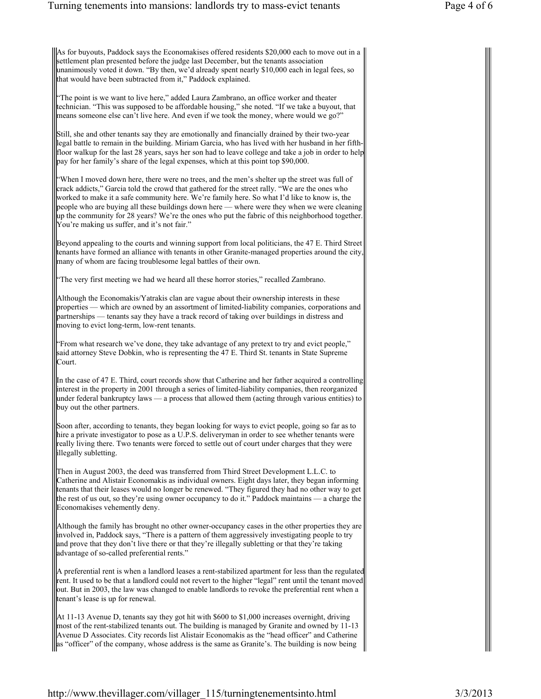As for buyouts, Paddock says the Economakises offered residents \$20,000 each to move out in a settlement plan presented before the judge last December, but the tenants association unanimously voted it down. "By then, we'd already spent nearly \$10,000 each in legal fees, so that would have been subtracted from it," Paddock explained.

"The point is we want to live here," added Laura Zambrano, an office worker and theater technician. "This was supposed to be affordable housing," she noted. "If we take a buyout, that means someone else can't live here. And even if we took the money, where would we go?"

Still, she and other tenants say they are emotionally and financially drained by their two-year legal battle to remain in the building. Miriam Garcia, who has lived with her husband in her fifthfloor walkup for the last 28 years, says her son had to leave college and take a job in order to help pay for her family's share of the legal expenses, which at this point top \$90,000.

"When I moved down here, there were no trees, and the men's shelter up the street was full of crack addicts," Garcia told the crowd that gathered for the street rally. "We are the ones who worked to make it a safe community here. We're family here. So what I'd like to know is, the people who are buying all these buildings down here — where were they when we were cleaning up the community for 28 years? We're the ones who put the fabric of this neighborhood together. You're making us suffer, and it's not fair."

Beyond appealing to the courts and winning support from local politicians, the 47 E. Third Street tenants have formed an alliance with tenants in other Granite-managed properties around the city, many of whom are facing troublesome legal battles of their own.

"The very first meeting we had we heard all these horror stories," recalled Zambrano.

Although the Economakis/Yatrakis clan are vague about their ownership interests in these properties — which are owned by an assortment of limited-liability companies, corporations and partnerships — tenants say they have a track record of taking over buildings in distress and moving to evict long-term, low-rent tenants.

"From what research we've done, they take advantage of any pretext to try and evict people," said attorney Steve Dobkin, who is representing the 47 E. Third St. tenants in State Supreme Court.

In the case of 47 E. Third, court records show that Catherine and her father acquired a controlling interest in the property in 2001 through a series of limited-liability companies, then reorganized under federal bankruptcy laws — a process that allowed them (acting through various entities) to buy out the other partners.

Soon after, according to tenants, they began looking for ways to evict people, going so far as to hire a private investigator to pose as a U.P.S. deliveryman in order to see whether tenants were really living there. Two tenants were forced to settle out of court under charges that they were illegally subletting.

Then in August 2003, the deed was transferred from Third Street Development L.L.C. to Catherine and Alistair Economakis as individual owners. Eight days later, they began informing tenants that their leases would no longer be renewed. "They figured they had no other way to get the rest of us out, so they're using owner occupancy to do it." Paddock maintains — a charge the Economakises vehemently deny.

Although the family has brought no other owner-occupancy cases in the other properties they are involved in, Paddock says, "There is a pattern of them aggressively investigating people to try and prove that they don't live there or that they're illegally subletting or that they're taking advantage of so-called preferential rents."

A preferential rent is when a landlord leases a rent-stabilized apartment for less than the regulated rent. It used to be that a landlord could not revert to the higher "legal" rent until the tenant moved out. But in 2003, the law was changed to enable landlords to revoke the preferential rent when a tenant's lease is up for renewal.

At 11-13 Avenue D, tenants say they got hit with \$600 to \$1,000 increases overnight, driving most of the rent-stabilized tenants out. The building is managed by Granite and owned by 11-13 Avenue D Associates. City records list Alistair Economakis as the "head officer" and Catherine as "officer" of the company, whose address is the same as Granite's. The building is now being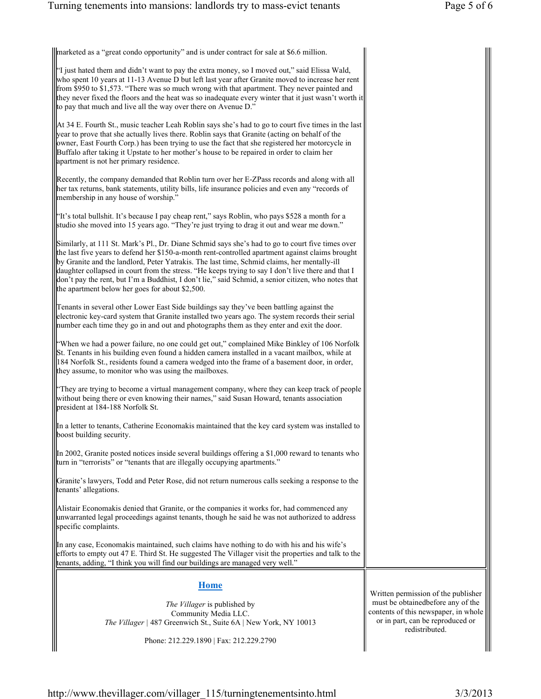marketed as a "great condo opportunity" and is under contract for sale at \$6.6 million.

| "I just hated them and didn't want to pay the extra money, so I moved out," said Elissa Wald,                |
|--------------------------------------------------------------------------------------------------------------|
| who spent 10 years at 11-13 Avenue D but left last year after Granite moved to increase her rent $\parallel$ |
| from \$950 to \$1,573. "There was so much wrong with that apartment. They never painted and                  |
| they never fixed the floors and the heat was so inadequate every winter that it just wasn't worth it         |
| to pay that much and live all the way over there on Avenue D."                                               |
|                                                                                                              |

At 34 E. Fourth St., music teacher Leah Roblin says she's had to go to court five times in the last year to prove that she actually lives there. Roblin says that Granite (acting on behalf of the owner, East Fourth Corp.) has been trying to use the fact that she registered her motorcycle in Buffalo after taking it Upstate to her mother's house to be repaired in order to claim her apartment is not her primary residence.

Recently, the company demanded that Roblin turn over her E-ZPass records and along with all her tax returns, bank statements, utility bills, life insurance policies and even any "records of membership in any house of worship."

"It's total bullshit. It's because I pay cheap rent," says Roblin, who pays \$528 a month for a studio she moved into 15 years ago. "They're just trying to drag it out and wear me down."

Similarly, at 111 St. Mark's Pl., Dr. Diane Schmid says she's had to go to court five times over the last five years to defend her \$150-a-month rent-controlled apartment against claims brought by Granite and the landlord, Peter Yatrakis. The last time, Schmid claims, her mentally-ill daughter collapsed in court from the stress. "He keeps trying to say I don't live there and that I don't pay the rent, but I'm a Buddhist, I don't lie," said Schmid, a senior citizen, who notes that the apartment below her goes for about \$2,500.

Tenants in several other Lower East Side buildings say they've been battling against the electronic key-card system that Granite installed two years ago. The system records their serial number each time they go in and out and photographs them as they enter and exit the door.

"When we had a power failure, no one could get out," complained Mike Binkley of 106 Norfolk St. Tenants in his building even found a hidden camera installed in a vacant mailbox, while at 184 Norfolk St., residents found a camera wedged into the frame of a basement door, in order, they assume, to monitor who was using the mailboxes.

"They are trying to become a virtual management company, where they can keep track of people without being there or even knowing their names," said Susan Howard, tenants association president at 184-188 Norfolk St.

In a letter to tenants, Catherine Economakis maintained that the key card system was installed to boost building security.

In 2002, Granite posted notices inside several buildings offering a \$1,000 reward to tenants who turn in "terrorists" or "tenants that are illegally occupying apartments."

Granite's lawyers, Todd and Peter Rose, did not return numerous calls seeking a response to the tenants' allegations.

Alistair Economakis denied that Granite, or the companies it works for, had commenced any unwarranted legal proceedings against tenants, though he said he was not authorized to address specific complaints.

In any case, Economakis maintained, such claims have nothing to do with his and his wife's efforts to empty out 47 E. Third St. He suggested The Villager visit the properties and talk to the tenants, adding, "I think you will find our buildings are managed very well."

## **Home**

*The Villager* is published by Community Media LLC. *The Villager |* 487 Greenwich St., Suite 6A | New York, NY 10013

Phone: 212.229.1890 | Fax: 212.229.2790

Written permission of the publisher must be obtainedbefore any of the contents of this newspaper, in whole or in part, can be reproduced or redistributed.